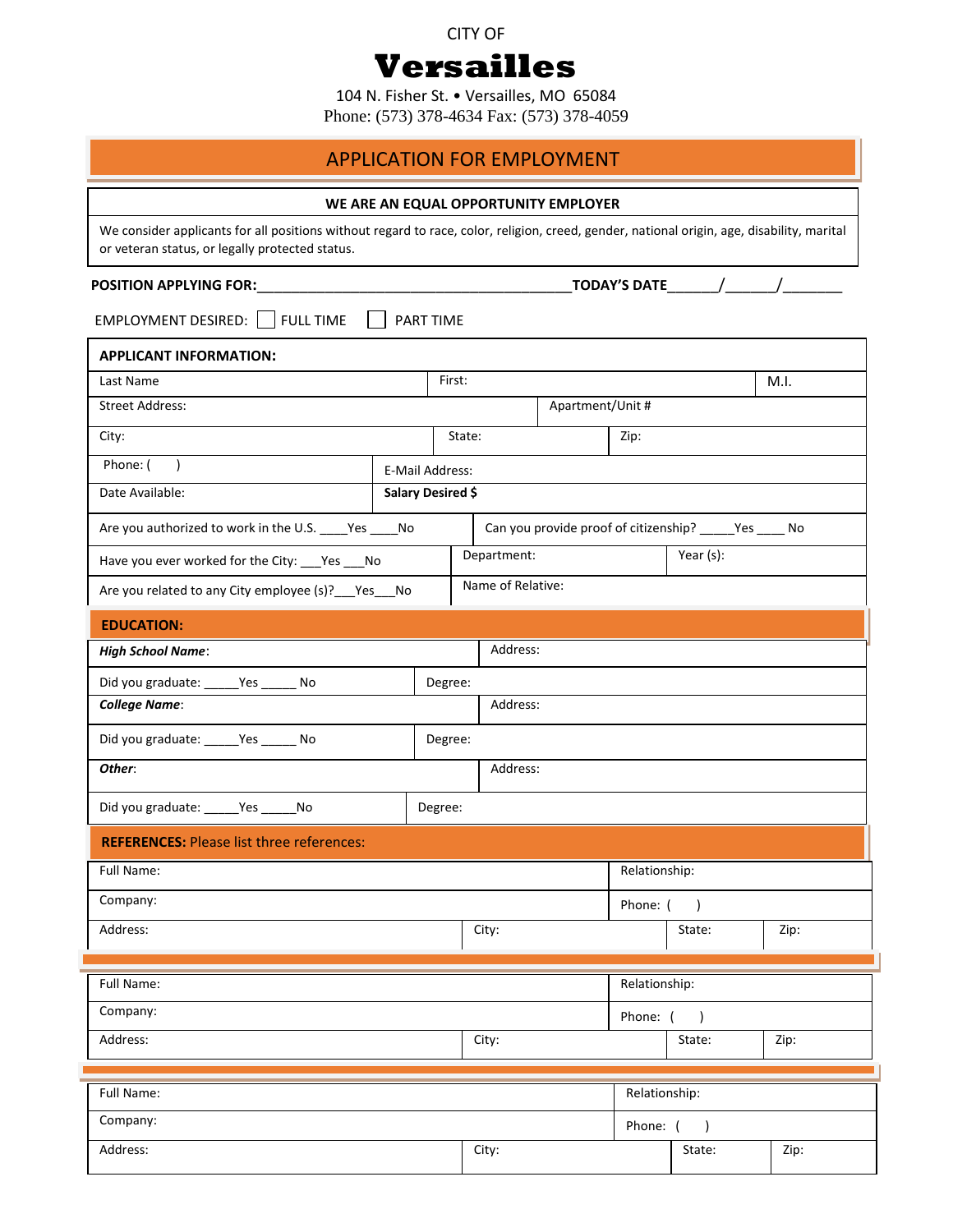#### CITY OF

# **Versailles**

104 N. Fisher St. • Versailles, MO 65084

Phone: (573) 378-4634 Fax: (573) 378-4059

## APPLICATION FOR EMPLOYMENT

#### **WE ARE AN EQUAL OPPORTUNITY EMPLOYER**

We consider applicants for all positions without regard to race, color, religion, creed, gender, national origin, age, disability, marital or veteran status, or legally protected status.

### **POSITION APPLYING FOR:**\_\_\_\_\_\_\_\_\_\_\_\_\_\_\_\_\_\_\_\_\_\_\_\_\_\_\_\_\_\_\_\_\_\_\_\_\_**TODAY'S DATE**\_\_\_\_\_\_/\_\_\_\_\_\_/\_\_\_\_\_\_\_

 $EMPLOYMENT DESIRED:$  FULL TIME  $\Box$  PART TIME

j Phone: ( ) and ( ) E-Mail Address: **APPLICANT INFORMATION:** Last Name  $\begin{bmatrix} \text{First:} \end{bmatrix}$  First:  $\begin{bmatrix} \text{Matrix:} \end{bmatrix}$ Street Address: Apartment/Unit # City: State: Zip: Date Available: **Salary Desired \$** Are you authorized to work in the U.S. \_\_\_\_\_Yes \_\_\_\_\_No Can you provide proof of citizenship? \_\_\_\_\_Yes \_\_\_\_\_ No Have you ever worked for the City: \_\_\_Yes \_\_\_No Department: Year (s): Are you related to any City employee (s)?  $\frac{1}{2}$  Yes  $\frac{1}{2}$  Name of Relative:

| <b>EDUCATION:</b>                      |         |          |  |
|----------------------------------------|---------|----------|--|
| <b>High School Name:</b>               |         | Address: |  |
| Did you graduate: ______ Yes ______ No | Degree: |          |  |
| <b>College Name:</b>                   |         | Address: |  |
| Did you graduate: ______ Yes ______ No | Degree: |          |  |
| Other:                                 |         | Address: |  |

## Did you graduate: \_\_\_\_\_\_Yes \_\_\_\_\_\_No Degree:

| <b>REFERENCES: Please list three references:</b> |       |  |               |      |  |
|--------------------------------------------------|-------|--|---------------|------|--|
| Full Name:                                       |       |  | Relationship: |      |  |
| Company:                                         |       |  | Phone: ()     |      |  |
| Address:                                         | City: |  | State:        | Zip: |  |
|                                                  |       |  |               |      |  |
| Full Name:                                       |       |  | Relationship: |      |  |

| Fuil Ivallie. |       | REIGUUISHIP. |        |      |
|---------------|-------|--------------|--------|------|
| Company:      |       | Phone:       |        |      |
| Address:      | City: |              | State: | Zip: |

| Full Name: |       | Relationship: |        |      |
|------------|-------|---------------|--------|------|
| Company:   |       | Phone:        |        |      |
| Address:   | City: |               | State: | Zip: |